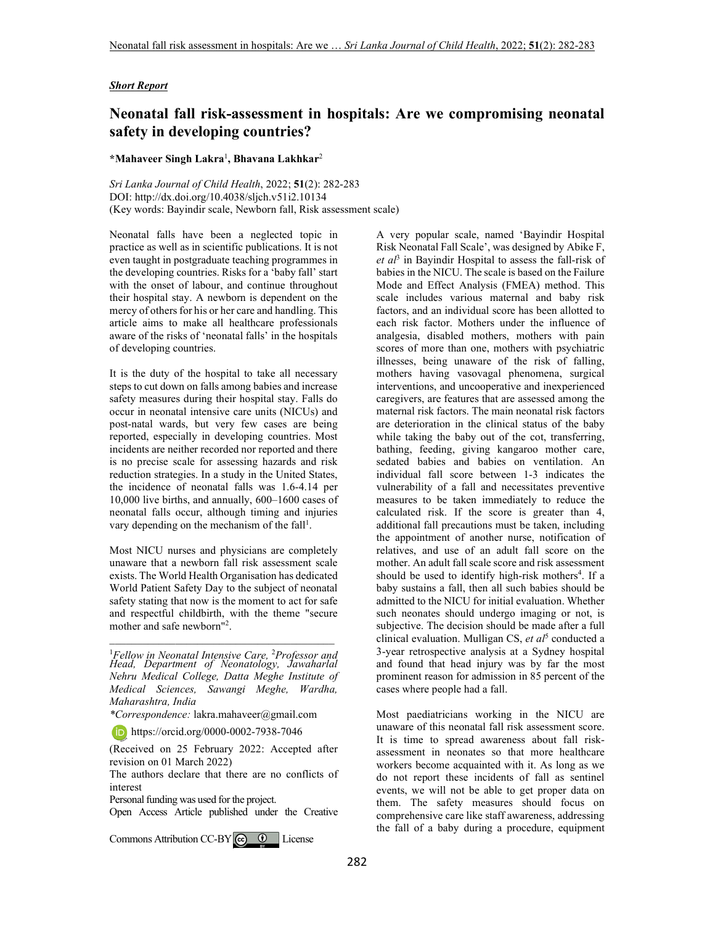## *Short Report*

## **Neonatal fall risk-assessment in hospitals: Are we compromising neonatal safety in developing countries?**

## **\*Mahaveer Singh Lakra**<sup>1</sup> **, Bhavana Lakhkar**<sup>2</sup>

*Sri Lanka Journal of Child Health*, 2022; **51**(2): 282-283 DOI: http://dx.doi.org/10.4038/sljch.v51i2.10134 (Key words: Bayindir scale, Newborn fall, Risk assessment scale)

Neonatal falls have been a neglected topic in practice as well as in scientific publications. It is not even taught in postgraduate teaching programmes in the developing countries. Risks for a 'baby fall' start with the onset of labour, and continue throughout their hospital stay. A newborn is dependent on the mercy of others for his or her care and handling. This article aims to make all healthcare professionals aware of the risks of 'neonatal falls' in the hospitals of developing countries.

It is the duty of the hospital to take all necessary steps to cut down on falls among babies and increase safety measures during their hospital stay. Falls do occur in neonatal intensive care units (NICUs) and post-natal wards, but very few cases are being reported, especially in developing countries. Most incidents are neither recorded nor reported and there is no precise scale for assessing hazards and risk reduction strategies. In a study in the United States, the incidence of neonatal falls was 1.6-4.14 per 10,000 live births, and annually, 600–1600 cases of neonatal falls occur, although timing and injuries vary depending on the mechanism of the fall<sup>1</sup>.

Most NICU nurses and physicians are completely unaware that a newborn fall risk assessment scale exists. The World Health Organisation has dedicated World Patient Safety Day to the subject of neonatal safety stating that now is the moment to act for safe and respectful childbirth, with the theme "secure mother and safe newborn"<sup>2</sup> .

<sup>1</sup>*Fellow in Neonatal Intensive Care,* <sup>2</sup>*Professor and Head, Department of Neonatology, Jawaharlal Nehru Medical College, Datta Meghe Institute of Medical Sciences, Sawangi Meghe, Wardha, Maharashtra, India* 

\_\_\_\_\_\_\_\_\_\_\_\_\_\_\_\_\_\_\_\_\_\_\_\_\_\_\_\_\_\_\_\_\_\_\_\_\_\_\_\_\_

*\*Correspondence:* lakra.mahaveer@gmail.com

https://orcid.org/0000-0002-7938-7046

(Received on 25 February 2022: Accepted after revision on 01 March 2022)

The authors declare that there are no conflicts of interest

Personal funding was used for the project.

Open Access Article published under the Creative

CommonsAttribution CC-BY $\big[\begin{matrix} \mathbf{\hat{c}} \end{matrix} \big]$  License

A very popular scale, named 'Bayindir Hospital Risk Neonatal Fall Scale', was designed by Abike F, *et al*<sup>3</sup> in Bayindir Hospital to assess the fall-risk of babies in the NICU. The scale is based on the Failure Mode and Effect Analysis (FMEA) method. This scale includes various maternal and baby risk factors, and an individual score has been allotted to each risk factor. Mothers under the influence of analgesia, disabled mothers, mothers with pain scores of more than one, mothers with psychiatric illnesses, being unaware of the risk of falling, mothers having vasovagal phenomena, surgical interventions, and uncooperative and inexperienced caregivers, are features that are assessed among the maternal risk factors. The main neonatal risk factors are deterioration in the clinical status of the baby while taking the baby out of the cot, transferring, bathing, feeding, giving kangaroo mother care, sedated babies and babies on ventilation. An individual fall score between 1-3 indicates the vulnerability of a fall and necessitates preventive measures to be taken immediately to reduce the calculated risk. If the score is greater than 4, additional fall precautions must be taken, including the appointment of another nurse, notification of relatives, and use of an adult fall score on the mother. An adult fall scale score and risk assessment should be used to identify high-risk mothers<sup>4</sup>. If a baby sustains a fall, then all such babies should be admitted to the NICU for initial evaluation. Whether such neonates should undergo imaging or not, is subjective. The decision should be made after a full clinical evaluation. Mulligan CS, et al<sup>5</sup> conducted a 3-year retrospective analysis at a Sydney hospital and found that head injury was by far the most prominent reason for admission in 85 percent of the cases where people had a fall.

Most paediatricians working in the NICU are unaware of this neonatal fall risk assessment score. It is time to spread awareness about fall riskassessment in neonates so that more healthcare workers become acquainted with it. As long as we do not report these incidents of fall as sentinel events, we will not be able to get proper data on them. The safety measures should focus on comprehensive care like staff awareness, addressing the fall of a baby during a procedure, equipment